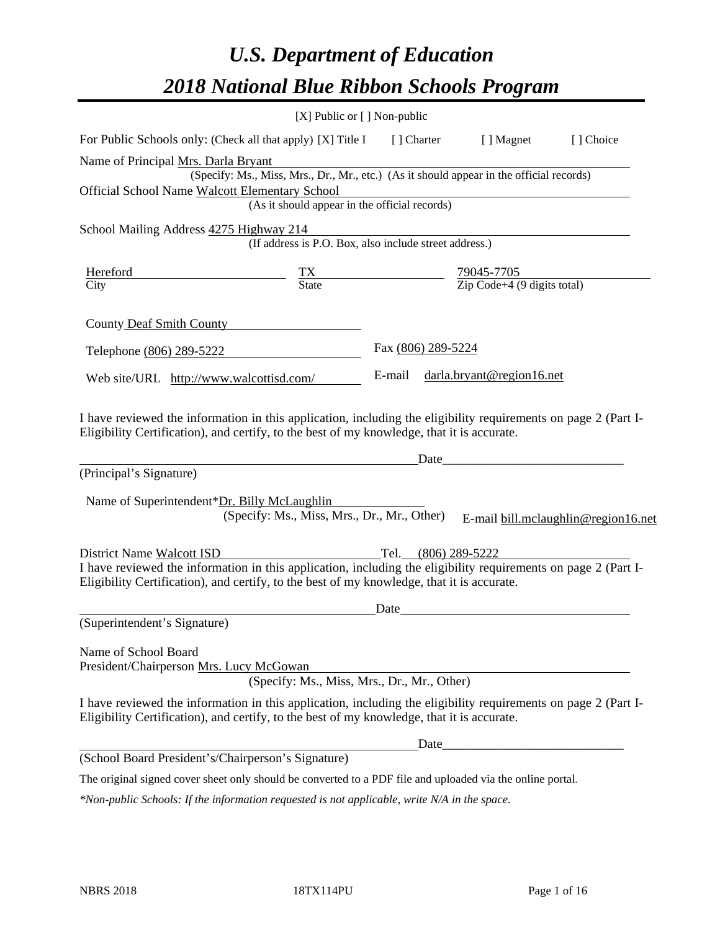# *U.S. Department of Education 2018 National Blue Ribbon Schools Program*

|                                                                                                                                                                                                              | [X] Public or [] Non-public                                                              |                     |                                                         |                                     |
|--------------------------------------------------------------------------------------------------------------------------------------------------------------------------------------------------------------|------------------------------------------------------------------------------------------|---------------------|---------------------------------------------------------|-------------------------------------|
| For Public Schools only: (Check all that apply) [X] Title I [] Charter                                                                                                                                       |                                                                                          |                     | [ ] Magnet                                              | [] Choice                           |
| Name of Principal Mrs. Darla Bryant                                                                                                                                                                          |                                                                                          |                     |                                                         |                                     |
|                                                                                                                                                                                                              | (Specify: Ms., Miss, Mrs., Dr., Mr., etc.) (As it should appear in the official records) |                     |                                                         |                                     |
| Official School Name Walcott Elementary School                                                                                                                                                               |                                                                                          |                     |                                                         |                                     |
|                                                                                                                                                                                                              | (As it should appear in the official records)                                            |                     |                                                         |                                     |
| School Mailing Address 4275 Highway 214                                                                                                                                                                      |                                                                                          |                     |                                                         |                                     |
|                                                                                                                                                                                                              | (If address is P.O. Box, also include street address.)                                   |                     |                                                         |                                     |
| Hereford                                                                                                                                                                                                     | $\frac{TX}{State}$                                                                       |                     |                                                         |                                     |
| City                                                                                                                                                                                                         |                                                                                          |                     | $\frac{79045-7705}{\text{Zip Code}+4 (9 digits total)}$ |                                     |
| County Deaf Smith County                                                                                                                                                                                     |                                                                                          |                     |                                                         |                                     |
| Telephone (806) 289-5222                                                                                                                                                                                     |                                                                                          | Fax (806) 289-5224  |                                                         |                                     |
| Web site/URL http://www.walcottisd.com/                                                                                                                                                                      |                                                                                          | E-mail              | darla.bryant@region16.net                               |                                     |
| (Principal's Signature)<br>Name of Superintendent*Dr. Billy McLaughlin                                                                                                                                       | (Specify: Ms., Miss, Mrs., Dr., Mr., Other)                                              | Date                |                                                         | E-mail bill.mclaughlin@region16.net |
| District Name Walcott ISD                                                                                                                                                                                    |                                                                                          | Tel. (806) 289-5222 |                                                         |                                     |
| I have reviewed the information in this application, including the eligibility requirements on page 2 (Part I-                                                                                               |                                                                                          |                     |                                                         |                                     |
| Eligibility Certification), and certify, to the best of my knowledge, that it is accurate.                                                                                                                   |                                                                                          |                     |                                                         |                                     |
|                                                                                                                                                                                                              |                                                                                          | Date                |                                                         |                                     |
| (Superintendent's Signature)                                                                                                                                                                                 |                                                                                          |                     |                                                         |                                     |
| Name of School Board<br>President/Chairperson Mrs. Lucy McGowan                                                                                                                                              | (Specify: Ms., Miss, Mrs., Dr., Mr., Other)                                              |                     |                                                         |                                     |
| I have reviewed the information in this application, including the eligibility requirements on page 2 (Part I-<br>Eligibility Certification), and certify, to the best of my knowledge, that it is accurate. |                                                                                          |                     |                                                         |                                     |
|                                                                                                                                                                                                              |                                                                                          |                     |                                                         |                                     |
| (School Board President's/Chairperson's Signature)                                                                                                                                                           |                                                                                          |                     |                                                         |                                     |
| The original signed cover sheet only should be converted to a PDF file and uploaded via the online portal.                                                                                                   |                                                                                          |                     |                                                         |                                     |

*\*Non-public Schools: If the information requested is not applicable, write N/A in the space.*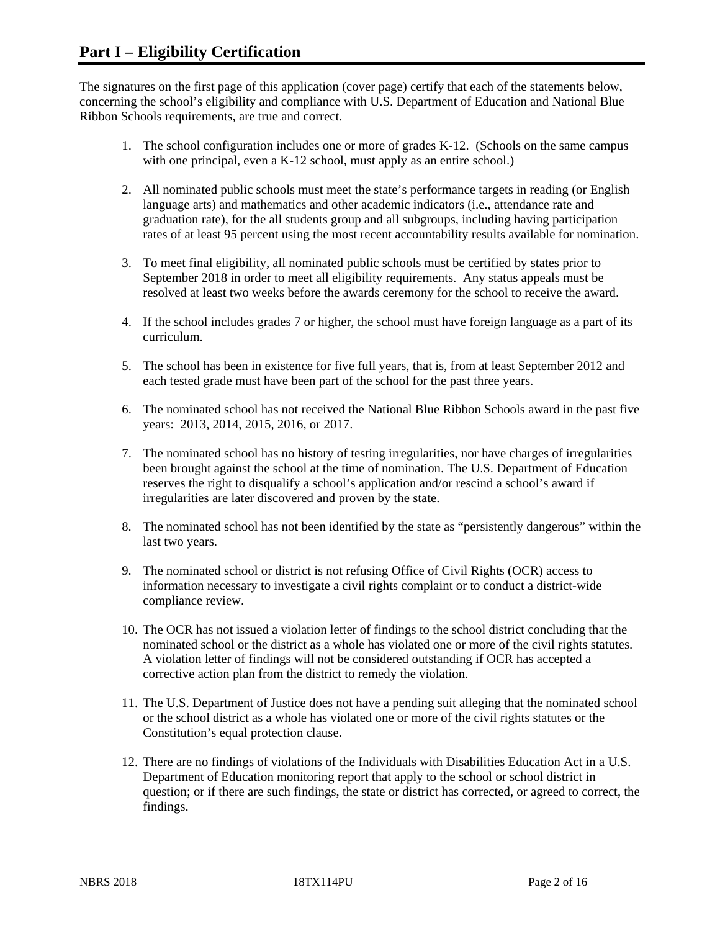The signatures on the first page of this application (cover page) certify that each of the statements below, concerning the school's eligibility and compliance with U.S. Department of Education and National Blue Ribbon Schools requirements, are true and correct.

- 1. The school configuration includes one or more of grades K-12. (Schools on the same campus with one principal, even a K-12 school, must apply as an entire school.)
- 2. All nominated public schools must meet the state's performance targets in reading (or English language arts) and mathematics and other academic indicators (i.e., attendance rate and graduation rate), for the all students group and all subgroups, including having participation rates of at least 95 percent using the most recent accountability results available for nomination.
- 3. To meet final eligibility, all nominated public schools must be certified by states prior to September 2018 in order to meet all eligibility requirements. Any status appeals must be resolved at least two weeks before the awards ceremony for the school to receive the award.
- 4. If the school includes grades 7 or higher, the school must have foreign language as a part of its curriculum.
- 5. The school has been in existence for five full years, that is, from at least September 2012 and each tested grade must have been part of the school for the past three years.
- 6. The nominated school has not received the National Blue Ribbon Schools award in the past five years: 2013, 2014, 2015, 2016, or 2017.
- 7. The nominated school has no history of testing irregularities, nor have charges of irregularities been brought against the school at the time of nomination. The U.S. Department of Education reserves the right to disqualify a school's application and/or rescind a school's award if irregularities are later discovered and proven by the state.
- 8. The nominated school has not been identified by the state as "persistently dangerous" within the last two years.
- 9. The nominated school or district is not refusing Office of Civil Rights (OCR) access to information necessary to investigate a civil rights complaint or to conduct a district-wide compliance review.
- 10. The OCR has not issued a violation letter of findings to the school district concluding that the nominated school or the district as a whole has violated one or more of the civil rights statutes. A violation letter of findings will not be considered outstanding if OCR has accepted a corrective action plan from the district to remedy the violation.
- 11. The U.S. Department of Justice does not have a pending suit alleging that the nominated school or the school district as a whole has violated one or more of the civil rights statutes or the Constitution's equal protection clause.
- 12. There are no findings of violations of the Individuals with Disabilities Education Act in a U.S. Department of Education monitoring report that apply to the school or school district in question; or if there are such findings, the state or district has corrected, or agreed to correct, the findings.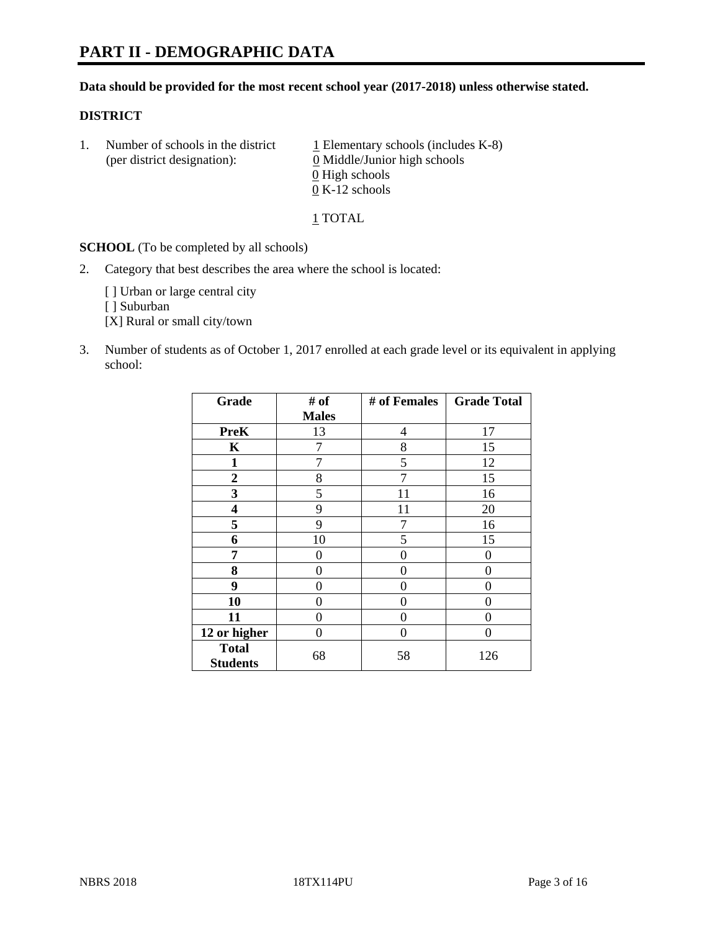## **Data should be provided for the most recent school year (2017-2018) unless otherwise stated.**

#### **DISTRICT**

1. Number of schools in the district  $1$  Elementary schools (includes K-8) (per district designation): 0 Middle/Junior high schools 0 High schools 0 K-12 schools

1 TOTAL

**SCHOOL** (To be completed by all schools)

2. Category that best describes the area where the school is located:

[] Urban or large central city

[ ] Suburban

[X] Rural or small city/town

3. Number of students as of October 1, 2017 enrolled at each grade level or its equivalent in applying school:

| Grade                           | # of         | # of Females | <b>Grade Total</b> |
|---------------------------------|--------------|--------------|--------------------|
|                                 | <b>Males</b> |              |                    |
| <b>PreK</b>                     | 13           | 4            | 17                 |
| $\mathbf K$                     | 7            | 8            | 15                 |
| $\mathbf{1}$                    | 7            | 5            | 12                 |
| 2                               | 8            | 7            | 15                 |
| 3                               | 5            | 11           | 16                 |
| $\overline{\mathbf{4}}$         | 9            | 11           | 20                 |
| 5                               | 9            | 7            | 16                 |
| 6                               | 10           | 5            | 15                 |
| 7                               | 0            | 0            | 0                  |
| 8                               | 0            | 0            | 0                  |
| 9                               | 0            | 0            | 0                  |
| 10                              | 0            | 0            | 0                  |
| 11                              | 0            | 0            | 0                  |
| 12 or higher                    | 0            | $\Omega$     | 0                  |
| <b>Total</b><br><b>Students</b> | 68           | 58           | 126                |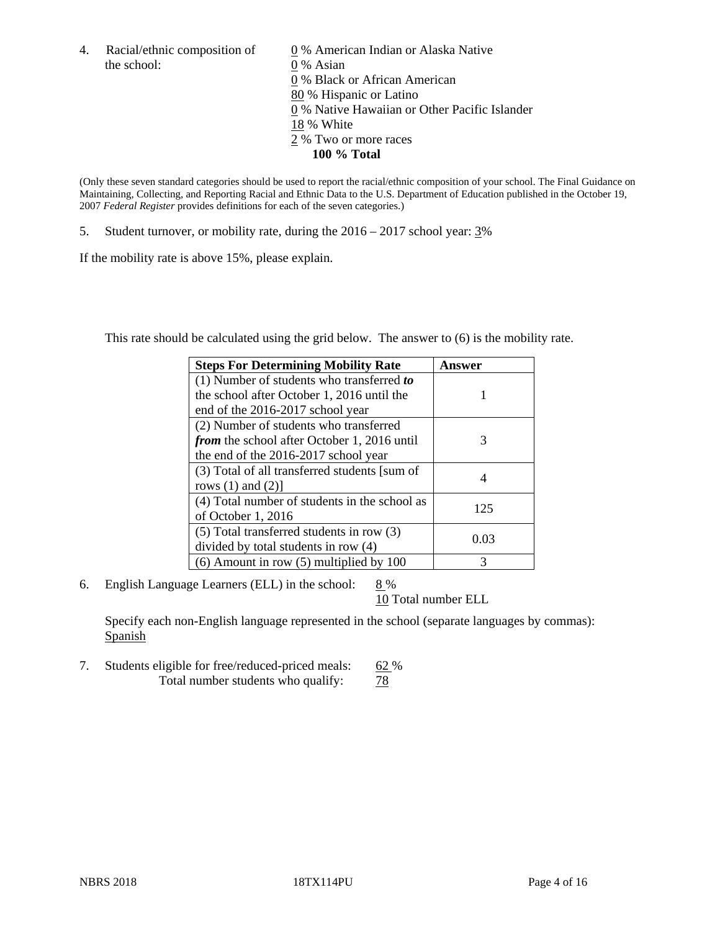the school: 0 % Asian

4. Racial/ethnic composition of  $\qquad 0\%$  American Indian or Alaska Native 0 % Black or African American 80 % Hispanic or Latino 0 % Native Hawaiian or Other Pacific Islander 18 % White 2 % Two or more races **100 % Total**

(Only these seven standard categories should be used to report the racial/ethnic composition of your school. The Final Guidance on Maintaining, Collecting, and Reporting Racial and Ethnic Data to the U.S. Department of Education published in the October 19, 2007 *Federal Register* provides definitions for each of the seven categories.)

5. Student turnover, or mobility rate, during the 2016 – 2017 school year: 3%

If the mobility rate is above 15%, please explain.

This rate should be calculated using the grid below. The answer to (6) is the mobility rate.

| <b>Steps For Determining Mobility Rate</b>         | Answer |
|----------------------------------------------------|--------|
| $(1)$ Number of students who transferred to        |        |
| the school after October 1, 2016 until the         |        |
| end of the 2016-2017 school year                   |        |
| (2) Number of students who transferred             |        |
| <i>from</i> the school after October 1, 2016 until | 3      |
| the end of the 2016-2017 school year               |        |
| (3) Total of all transferred students [sum of      |        |
| rows $(1)$ and $(2)$ ]                             | 4      |
| (4) Total number of students in the school as      | 125    |
| of October 1, 2016                                 |        |
| (5) Total transferred students in row (3)          |        |
| divided by total students in row (4)               | 0.03   |
| $(6)$ Amount in row $(5)$ multiplied by 100        | 3      |

6. English Language Learners (ELL) in the school:  $8\%$ 

10 Total number ELL

Specify each non-English language represented in the school (separate languages by commas): Spanish

7. Students eligible for free/reduced-priced meals: 62 % Total number students who qualify:  $\frac{78}{2}$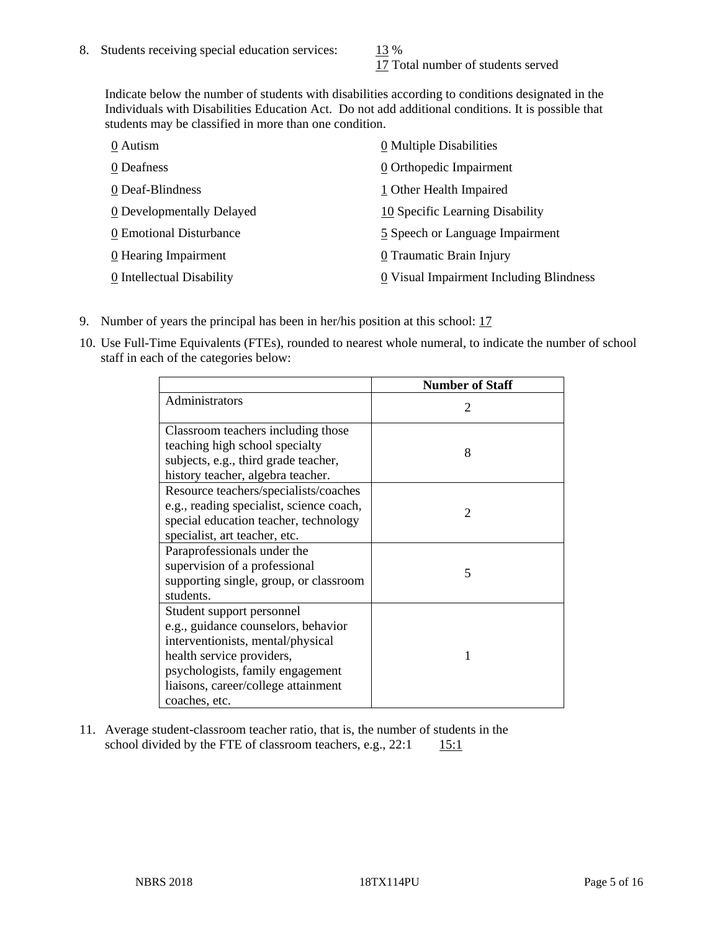17 Total number of students served

Indicate below the number of students with disabilities according to conditions designated in the Individuals with Disabilities Education Act. Do not add additional conditions. It is possible that students may be classified in more than one condition.

| 0 Autism                  | 0 Multiple Disabilities                 |
|---------------------------|-----------------------------------------|
| 0 Deafness                | 0 Orthopedic Impairment                 |
| 0 Deaf-Blindness          | 1 Other Health Impaired                 |
| 0 Developmentally Delayed | 10 Specific Learning Disability         |
| 0 Emotional Disturbance   | 5 Speech or Language Impairment         |
| 0 Hearing Impairment      | 0 Traumatic Brain Injury                |
| 0 Intellectual Disability | 0 Visual Impairment Including Blindness |

- 9. Number of years the principal has been in her/his position at this school: 17
- 10. Use Full-Time Equivalents (FTEs), rounded to nearest whole numeral, to indicate the number of school staff in each of the categories below:

|                                          | <b>Number of Staff</b>      |
|------------------------------------------|-----------------------------|
| Administrators                           | $\mathcal{D}_{\mathcal{A}}$ |
| Classroom teachers including those       |                             |
| teaching high school specialty           | 8                           |
| subjects, e.g., third grade teacher,     |                             |
| history teacher, algebra teacher.        |                             |
| Resource teachers/specialists/coaches    |                             |
| e.g., reading specialist, science coach, | $\mathcal{D}_{\mathcal{A}}$ |
| special education teacher, technology    |                             |
| specialist, art teacher, etc.            |                             |
| Paraprofessionals under the              |                             |
| supervision of a professional            | 5                           |
| supporting single, group, or classroom   |                             |
| students.                                |                             |
| Student support personnel                |                             |
| e.g., guidance counselors, behavior      |                             |
| interventionists, mental/physical        |                             |
| health service providers,                |                             |
| psychologists, family engagement         |                             |
| liaisons, career/college attainment      |                             |
| coaches, etc.                            |                             |

11. Average student-classroom teacher ratio, that is, the number of students in the school divided by the FTE of classroom teachers, e.g.,  $22:1$  15:1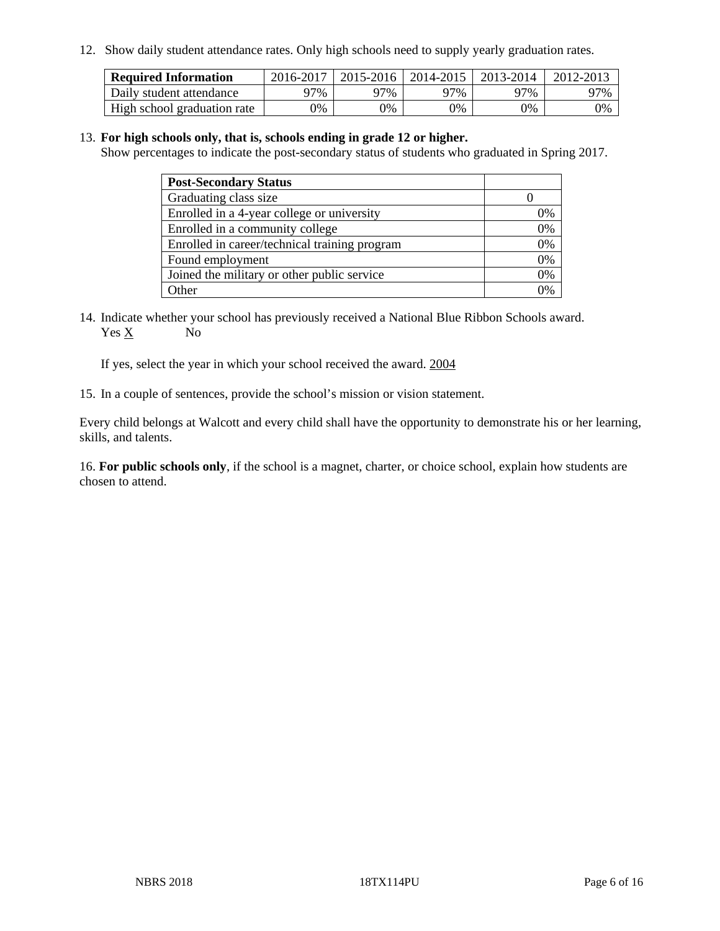12. Show daily student attendance rates. Only high schools need to supply yearly graduation rates.

| <b>Required Information</b> | 2016-2017 | $2015 - 2016$ | 2014-2015 | 2013-2014 | 2012-2013 |
|-----------------------------|-----------|---------------|-----------|-----------|-----------|
| Daily student attendance    | 97%       | 97%           | 97%       | ว7%       | 97%       |
| High school graduation rate | 0%        | 0%            | 0%        | 0%        | 0%        |

#### 13. **For high schools only, that is, schools ending in grade 12 or higher.**

Show percentages to indicate the post-secondary status of students who graduated in Spring 2017.

| <b>Post-Secondary Status</b>                  |    |
|-----------------------------------------------|----|
| Graduating class size                         |    |
| Enrolled in a 4-year college or university    | 0% |
| Enrolled in a community college               | 0% |
| Enrolled in career/technical training program | 0% |
| Found employment                              | 0% |
| Joined the military or other public service   | 0% |
| Other                                         |    |

14. Indicate whether your school has previously received a National Blue Ribbon Schools award. Yes X No

If yes, select the year in which your school received the award. 2004

15. In a couple of sentences, provide the school's mission or vision statement.

Every child belongs at Walcott and every child shall have the opportunity to demonstrate his or her learning, skills, and talents.

16. **For public schools only**, if the school is a magnet, charter, or choice school, explain how students are chosen to attend.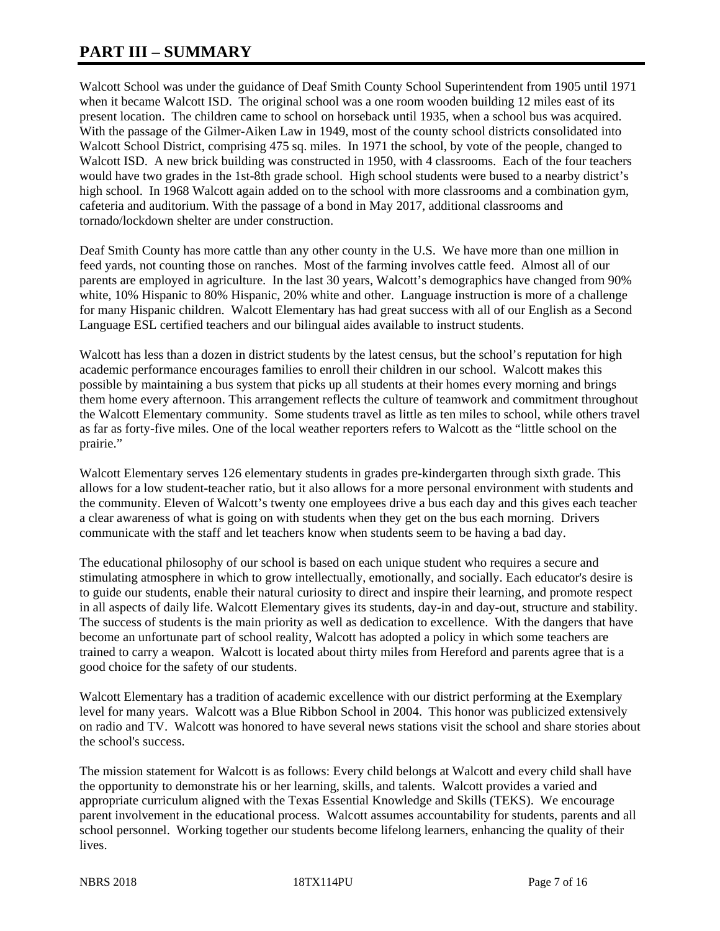# **PART III – SUMMARY**

Walcott School was under the guidance of Deaf Smith County School Superintendent from 1905 until 1971 when it became Walcott ISD. The original school was a one room wooden building 12 miles east of its present location. The children came to school on horseback until 1935, when a school bus was acquired. With the passage of the Gilmer-Aiken Law in 1949, most of the county school districts consolidated into Walcott School District, comprising 475 sq. miles. In 1971 the school, by vote of the people, changed to Walcott ISD. A new brick building was constructed in 1950, with 4 classrooms. Each of the four teachers would have two grades in the 1st-8th grade school. High school students were bused to a nearby district's high school. In 1968 Walcott again added on to the school with more classrooms and a combination gym, cafeteria and auditorium. With the passage of a bond in May 2017, additional classrooms and tornado/lockdown shelter are under construction.

Deaf Smith County has more cattle than any other county in the U.S. We have more than one million in feed yards, not counting those on ranches. Most of the farming involves cattle feed. Almost all of our parents are employed in agriculture. In the last 30 years, Walcott's demographics have changed from 90% white, 10% Hispanic to 80% Hispanic, 20% white and other. Language instruction is more of a challenge for many Hispanic children. Walcott Elementary has had great success with all of our English as a Second Language ESL certified teachers and our bilingual aides available to instruct students.

Walcott has less than a dozen in district students by the latest census, but the school's reputation for high academic performance encourages families to enroll their children in our school. Walcott makes this possible by maintaining a bus system that picks up all students at their homes every morning and brings them home every afternoon. This arrangement reflects the culture of teamwork and commitment throughout the Walcott Elementary community. Some students travel as little as ten miles to school, while others travel as far as forty-five miles. One of the local weather reporters refers to Walcott as the "little school on the prairie."

Walcott Elementary serves 126 elementary students in grades pre-kindergarten through sixth grade. This allows for a low student-teacher ratio, but it also allows for a more personal environment with students and the community. Eleven of Walcott's twenty one employees drive a bus each day and this gives each teacher a clear awareness of what is going on with students when they get on the bus each morning. Drivers communicate with the staff and let teachers know when students seem to be having a bad day.

The educational philosophy of our school is based on each unique student who requires a secure and stimulating atmosphere in which to grow intellectually, emotionally, and socially. Each educator's desire is to guide our students, enable their natural curiosity to direct and inspire their learning, and promote respect in all aspects of daily life. Walcott Elementary gives its students, day-in and day-out, structure and stability. The success of students is the main priority as well as dedication to excellence. With the dangers that have become an unfortunate part of school reality, Walcott has adopted a policy in which some teachers are trained to carry a weapon. Walcott is located about thirty miles from Hereford and parents agree that is a good choice for the safety of our students.

Walcott Elementary has a tradition of academic excellence with our district performing at the Exemplary level for many years. Walcott was a Blue Ribbon School in 2004. This honor was publicized extensively on radio and TV. Walcott was honored to have several news stations visit the school and share stories about the school's success.

The mission statement for Walcott is as follows: Every child belongs at Walcott and every child shall have the opportunity to demonstrate his or her learning, skills, and talents. Walcott provides a varied and appropriate curriculum aligned with the Texas Essential Knowledge and Skills (TEKS). We encourage parent involvement in the educational process. Walcott assumes accountability for students, parents and all school personnel. Working together our students become lifelong learners, enhancing the quality of their lives.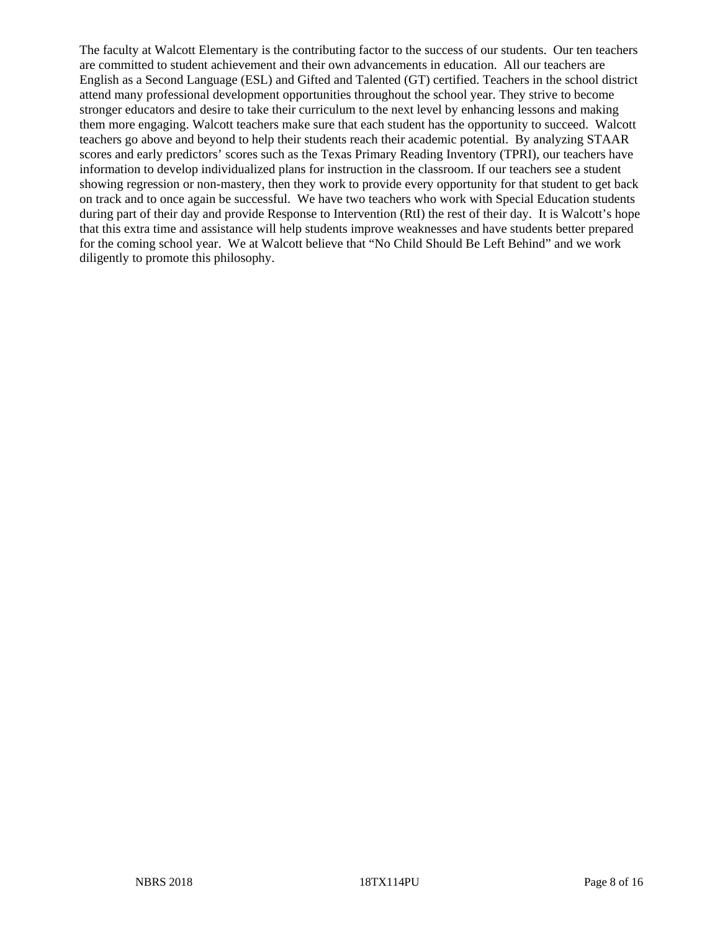The faculty at Walcott Elementary is the contributing factor to the success of our students. Our ten teachers are committed to student achievement and their own advancements in education. All our teachers are English as a Second Language (ESL) and Gifted and Talented (GT) certified. Teachers in the school district attend many professional development opportunities throughout the school year. They strive to become stronger educators and desire to take their curriculum to the next level by enhancing lessons and making them more engaging. Walcott teachers make sure that each student has the opportunity to succeed. Walcott teachers go above and beyond to help their students reach their academic potential. By analyzing STAAR scores and early predictors' scores such as the Texas Primary Reading Inventory (TPRI), our teachers have information to develop individualized plans for instruction in the classroom. If our teachers see a student showing regression or non-mastery, then they work to provide every opportunity for that student to get back on track and to once again be successful. We have two teachers who work with Special Education students during part of their day and provide Response to Intervention (RtI) the rest of their day. It is Walcott's hope that this extra time and assistance will help students improve weaknesses and have students better prepared for the coming school year. We at Walcott believe that "No Child Should Be Left Behind" and we work diligently to promote this philosophy.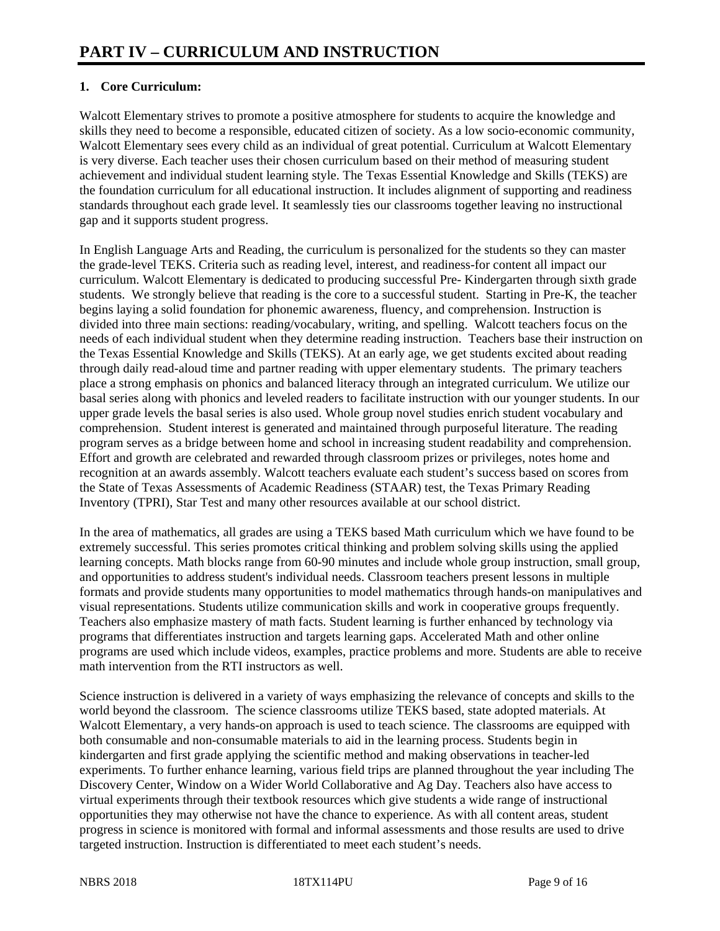# **1. Core Curriculum:**

Walcott Elementary strives to promote a positive atmosphere for students to acquire the knowledge and skills they need to become a responsible, educated citizen of society. As a low socio-economic community, Walcott Elementary sees every child as an individual of great potential. Curriculum at Walcott Elementary is very diverse. Each teacher uses their chosen curriculum based on their method of measuring student achievement and individual student learning style. The Texas Essential Knowledge and Skills (TEKS) are the foundation curriculum for all educational instruction. It includes alignment of supporting and readiness standards throughout each grade level. It seamlessly ties our classrooms together leaving no instructional gap and it supports student progress.

In English Language Arts and Reading, the curriculum is personalized for the students so they can master the grade-level TEKS. Criteria such as reading level, interest, and readiness-for content all impact our curriculum. Walcott Elementary is dedicated to producing successful Pre- Kindergarten through sixth grade students. We strongly believe that reading is the core to a successful student. Starting in Pre-K, the teacher begins laying a solid foundation for phonemic awareness, fluency, and comprehension. Instruction is divided into three main sections: reading/vocabulary, writing, and spelling. Walcott teachers focus on the needs of each individual student when they determine reading instruction. Teachers base their instruction on the Texas Essential Knowledge and Skills (TEKS). At an early age, we get students excited about reading through daily read-aloud time and partner reading with upper elementary students. The primary teachers place a strong emphasis on phonics and balanced literacy through an integrated curriculum. We utilize our basal series along with phonics and leveled readers to facilitate instruction with our younger students. In our upper grade levels the basal series is also used. Whole group novel studies enrich student vocabulary and comprehension. Student interest is generated and maintained through purposeful literature. The reading program serves as a bridge between home and school in increasing student readability and comprehension. Effort and growth are celebrated and rewarded through classroom prizes or privileges, notes home and recognition at an awards assembly. Walcott teachers evaluate each student's success based on scores from the State of Texas Assessments of Academic Readiness (STAAR) test, the Texas Primary Reading Inventory (TPRI), Star Test and many other resources available at our school district.

In the area of mathematics, all grades are using a TEKS based Math curriculum which we have found to be extremely successful. This series promotes critical thinking and problem solving skills using the applied learning concepts. Math blocks range from 60-90 minutes and include whole group instruction, small group, and opportunities to address student's individual needs. Classroom teachers present lessons in multiple formats and provide students many opportunities to model mathematics through hands-on manipulatives and visual representations. Students utilize communication skills and work in cooperative groups frequently. Teachers also emphasize mastery of math facts. Student learning is further enhanced by technology via programs that differentiates instruction and targets learning gaps. Accelerated Math and other online programs are used which include videos, examples, practice problems and more. Students are able to receive math intervention from the RTI instructors as well.

Science instruction is delivered in a variety of ways emphasizing the relevance of concepts and skills to the world beyond the classroom. The science classrooms utilize TEKS based, state adopted materials. At Walcott Elementary, a very hands-on approach is used to teach science. The classrooms are equipped with both consumable and non-consumable materials to aid in the learning process. Students begin in kindergarten and first grade applying the scientific method and making observations in teacher-led experiments. To further enhance learning, various field trips are planned throughout the year including The Discovery Center, Window on a Wider World Collaborative and Ag Day. Teachers also have access to virtual experiments through their textbook resources which give students a wide range of instructional opportunities they may otherwise not have the chance to experience. As with all content areas, student progress in science is monitored with formal and informal assessments and those results are used to drive targeted instruction. Instruction is differentiated to meet each student's needs.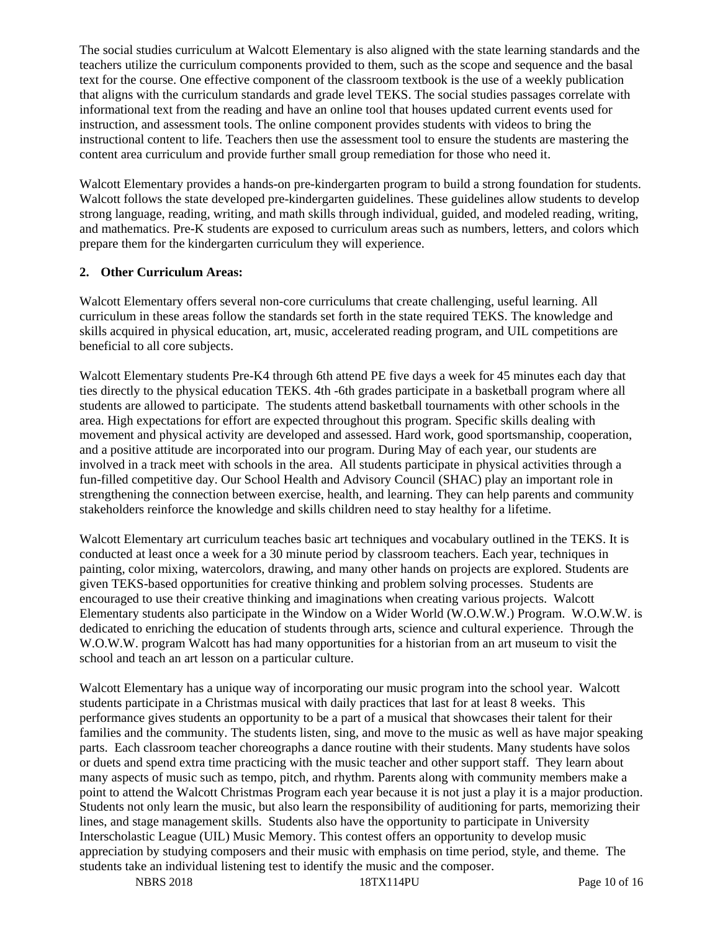The social studies curriculum at Walcott Elementary is also aligned with the state learning standards and the teachers utilize the curriculum components provided to them, such as the scope and sequence and the basal text for the course. One effective component of the classroom textbook is the use of a weekly publication that aligns with the curriculum standards and grade level TEKS. The social studies passages correlate with informational text from the reading and have an online tool that houses updated current events used for instruction, and assessment tools. The online component provides students with videos to bring the instructional content to life. Teachers then use the assessment tool to ensure the students are mastering the content area curriculum and provide further small group remediation for those who need it.

Walcott Elementary provides a hands-on pre-kindergarten program to build a strong foundation for students. Walcott follows the state developed pre-kindergarten guidelines. These guidelines allow students to develop strong language, reading, writing, and math skills through individual, guided, and modeled reading, writing, and mathematics. Pre-K students are exposed to curriculum areas such as numbers, letters, and colors which prepare them for the kindergarten curriculum they will experience.

# **2. Other Curriculum Areas:**

Walcott Elementary offers several non-core curriculums that create challenging, useful learning. All curriculum in these areas follow the standards set forth in the state required TEKS. The knowledge and skills acquired in physical education, art, music, accelerated reading program, and UIL competitions are beneficial to all core subjects.

Walcott Elementary students Pre-K4 through 6th attend PE five days a week for 45 minutes each day that ties directly to the physical education TEKS. 4th -6th grades participate in a basketball program where all students are allowed to participate. The students attend basketball tournaments with other schools in the area. High expectations for effort are expected throughout this program. Specific skills dealing with movement and physical activity are developed and assessed. Hard work, good sportsmanship, cooperation, and a positive attitude are incorporated into our program. During May of each year, our students are involved in a track meet with schools in the area. All students participate in physical activities through a fun-filled competitive day. Our School Health and Advisory Council (SHAC) play an important role in strengthening the connection between exercise, health, and learning. They can help parents and community stakeholders reinforce the knowledge and skills children need to stay healthy for a lifetime.

Walcott Elementary art curriculum teaches basic art techniques and vocabulary outlined in the TEKS. It is conducted at least once a week for a 30 minute period by classroom teachers. Each year, techniques in painting, color mixing, watercolors, drawing, and many other hands on projects are explored. Students are given TEKS-based opportunities for creative thinking and problem solving processes. Students are encouraged to use their creative thinking and imaginations when creating various projects. Walcott Elementary students also participate in the Window on a Wider World (W.O.W.W.) Program. W.O.W.W. is dedicated to enriching the education of students through arts, science and cultural experience. Through the W.O.W.W. program Walcott has had many opportunities for a historian from an art museum to visit the school and teach an art lesson on a particular culture.

Walcott Elementary has a unique way of incorporating our music program into the school year. Walcott students participate in a Christmas musical with daily practices that last for at least 8 weeks. This performance gives students an opportunity to be a part of a musical that showcases their talent for their families and the community. The students listen, sing, and move to the music as well as have major speaking parts. Each classroom teacher choreographs a dance routine with their students. Many students have solos or duets and spend extra time practicing with the music teacher and other support staff. They learn about many aspects of music such as tempo, pitch, and rhythm. Parents along with community members make a point to attend the Walcott Christmas Program each year because it is not just a play it is a major production. Students not only learn the music, but also learn the responsibility of auditioning for parts, memorizing their lines, and stage management skills. Students also have the opportunity to participate in University Interscholastic League (UIL) Music Memory. This contest offers an opportunity to develop music appreciation by studying composers and their music with emphasis on time period, style, and theme. The students take an individual listening test to identify the music and the composer.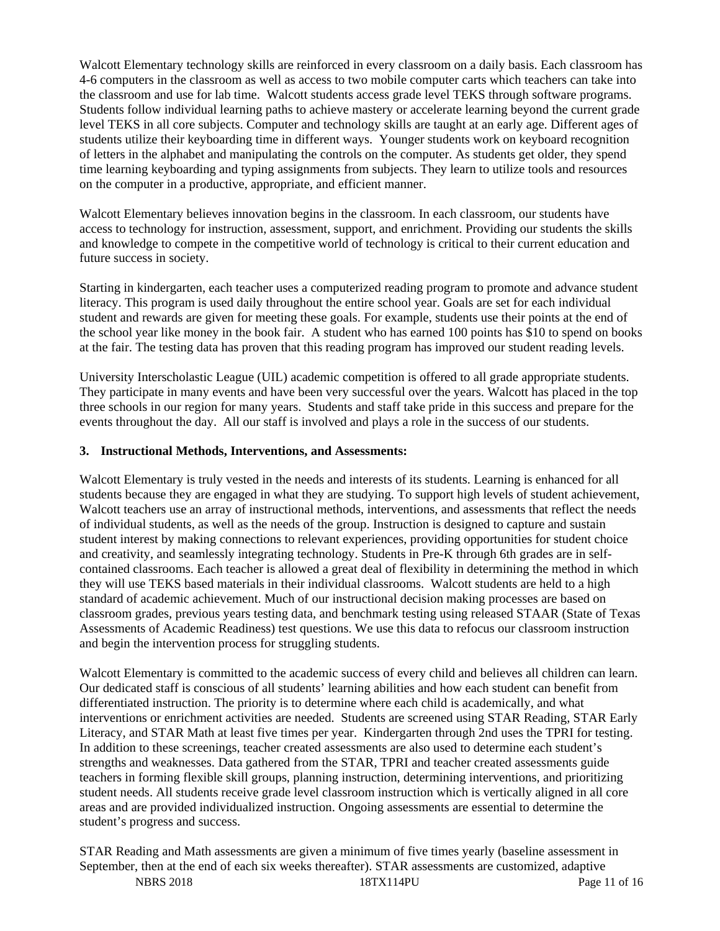Walcott Elementary technology skills are reinforced in every classroom on a daily basis. Each classroom has 4-6 computers in the classroom as well as access to two mobile computer carts which teachers can take into the classroom and use for lab time. Walcott students access grade level TEKS through software programs. Students follow individual learning paths to achieve mastery or accelerate learning beyond the current grade level TEKS in all core subjects. Computer and technology skills are taught at an early age. Different ages of students utilize their keyboarding time in different ways. Younger students work on keyboard recognition of letters in the alphabet and manipulating the controls on the computer. As students get older, they spend time learning keyboarding and typing assignments from subjects. They learn to utilize tools and resources on the computer in a productive, appropriate, and efficient manner.

Walcott Elementary believes innovation begins in the classroom. In each classroom, our students have access to technology for instruction, assessment, support, and enrichment. Providing our students the skills and knowledge to compete in the competitive world of technology is critical to their current education and future success in society.

Starting in kindergarten, each teacher uses a computerized reading program to promote and advance student literacy. This program is used daily throughout the entire school year. Goals are set for each individual student and rewards are given for meeting these goals. For example, students use their points at the end of the school year like money in the book fair. A student who has earned 100 points has \$10 to spend on books at the fair. The testing data has proven that this reading program has improved our student reading levels.

University Interscholastic League (UIL) academic competition is offered to all grade appropriate students. They participate in many events and have been very successful over the years. Walcott has placed in the top three schools in our region for many years. Students and staff take pride in this success and prepare for the events throughout the day. All our staff is involved and plays a role in the success of our students.

## **3. Instructional Methods, Interventions, and Assessments:**

Walcott Elementary is truly vested in the needs and interests of its students. Learning is enhanced for all students because they are engaged in what they are studying. To support high levels of student achievement, Walcott teachers use an array of instructional methods, interventions, and assessments that reflect the needs of individual students, as well as the needs of the group. Instruction is designed to capture and sustain student interest by making connections to relevant experiences, providing opportunities for student choice and creativity, and seamlessly integrating technology. Students in Pre-K through 6th grades are in selfcontained classrooms. Each teacher is allowed a great deal of flexibility in determining the method in which they will use TEKS based materials in their individual classrooms. Walcott students are held to a high standard of academic achievement. Much of our instructional decision making processes are based on classroom grades, previous years testing data, and benchmark testing using released STAAR (State of Texas Assessments of Academic Readiness) test questions. We use this data to refocus our classroom instruction and begin the intervention process for struggling students.

Walcott Elementary is committed to the academic success of every child and believes all children can learn. Our dedicated staff is conscious of all students' learning abilities and how each student can benefit from differentiated instruction. The priority is to determine where each child is academically, and what interventions or enrichment activities are needed. Students are screened using STAR Reading, STAR Early Literacy, and STAR Math at least five times per year. Kindergarten through 2nd uses the TPRI for testing. In addition to these screenings, teacher created assessments are also used to determine each student's strengths and weaknesses. Data gathered from the STAR, TPRI and teacher created assessments guide teachers in forming flexible skill groups, planning instruction, determining interventions, and prioritizing student needs. All students receive grade level classroom instruction which is vertically aligned in all core areas and are provided individualized instruction. Ongoing assessments are essential to determine the student's progress and success.

NBRS 2018 18TX114PU Page 11 of 16 STAR Reading and Math assessments are given a minimum of five times yearly (baseline assessment in September, then at the end of each six weeks thereafter). STAR assessments are customized, adaptive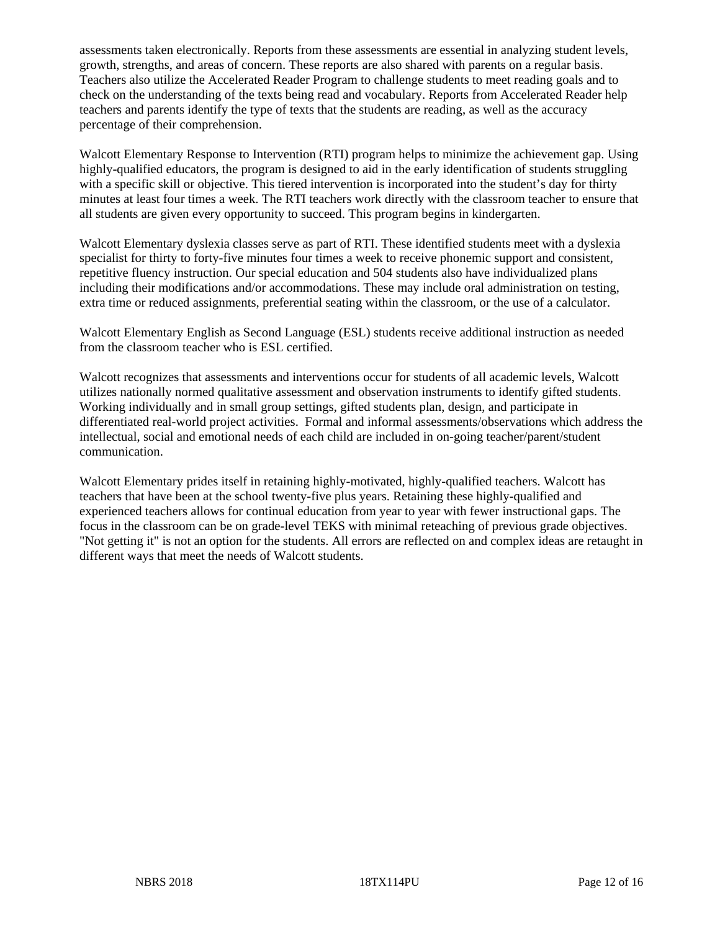assessments taken electronically. Reports from these assessments are essential in analyzing student levels, growth, strengths, and areas of concern. These reports are also shared with parents on a regular basis. Teachers also utilize the Accelerated Reader Program to challenge students to meet reading goals and to check on the understanding of the texts being read and vocabulary. Reports from Accelerated Reader help teachers and parents identify the type of texts that the students are reading, as well as the accuracy percentage of their comprehension.

Walcott Elementary Response to Intervention (RTI) program helps to minimize the achievement gap. Using highly-qualified educators, the program is designed to aid in the early identification of students struggling with a specific skill or objective. This tiered intervention is incorporated into the student's day for thirty minutes at least four times a week. The RTI teachers work directly with the classroom teacher to ensure that all students are given every opportunity to succeed. This program begins in kindergarten.

Walcott Elementary dyslexia classes serve as part of RTI. These identified students meet with a dyslexia specialist for thirty to forty-five minutes four times a week to receive phonemic support and consistent, repetitive fluency instruction. Our special education and 504 students also have individualized plans including their modifications and/or accommodations. These may include oral administration on testing, extra time or reduced assignments, preferential seating within the classroom, or the use of a calculator.

Walcott Elementary English as Second Language (ESL) students receive additional instruction as needed from the classroom teacher who is ESL certified.

Walcott recognizes that assessments and interventions occur for students of all academic levels, Walcott utilizes nationally normed qualitative assessment and observation instruments to identify gifted students. Working individually and in small group settings, gifted students plan, design, and participate in differentiated real-world project activities. Formal and informal assessments/observations which address the intellectual, social and emotional needs of each child are included in on-going teacher/parent/student communication.

Walcott Elementary prides itself in retaining highly-motivated, highly-qualified teachers. Walcott has teachers that have been at the school twenty-five plus years. Retaining these highly-qualified and experienced teachers allows for continual education from year to year with fewer instructional gaps. The focus in the classroom can be on grade-level TEKS with minimal reteaching of previous grade objectives. "Not getting it" is not an option for the students. All errors are reflected on and complex ideas are retaught in different ways that meet the needs of Walcott students.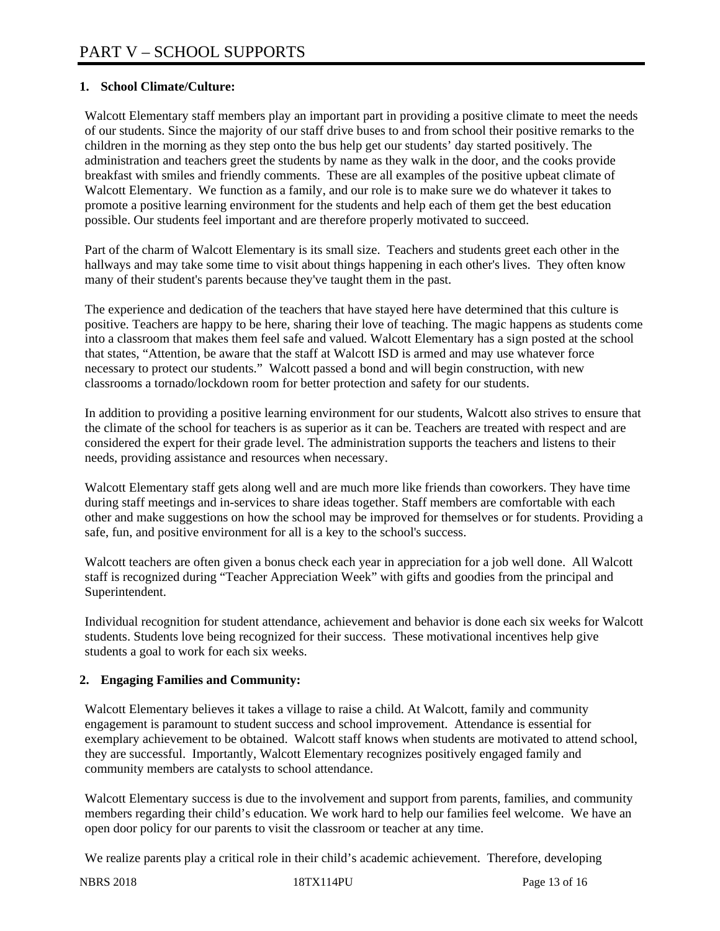# **1. School Climate/Culture:**

Walcott Elementary staff members play an important part in providing a positive climate to meet the needs of our students. Since the majority of our staff drive buses to and from school their positive remarks to the children in the morning as they step onto the bus help get our students' day started positively. The administration and teachers greet the students by name as they walk in the door, and the cooks provide breakfast with smiles and friendly comments. These are all examples of the positive upbeat climate of Walcott Elementary. We function as a family, and our role is to make sure we do whatever it takes to promote a positive learning environment for the students and help each of them get the best education possible. Our students feel important and are therefore properly motivated to succeed.

Part of the charm of Walcott Elementary is its small size. Teachers and students greet each other in the hallways and may take some time to visit about things happening in each other's lives. They often know many of their student's parents because they've taught them in the past.

The experience and dedication of the teachers that have stayed here have determined that this culture is positive. Teachers are happy to be here, sharing their love of teaching. The magic happens as students come into a classroom that makes them feel safe and valued. Walcott Elementary has a sign posted at the school that states, "Attention, be aware that the staff at Walcott ISD is armed and may use whatever force necessary to protect our students." Walcott passed a bond and will begin construction, with new classrooms a tornado/lockdown room for better protection and safety for our students.

In addition to providing a positive learning environment for our students, Walcott also strives to ensure that the climate of the school for teachers is as superior as it can be. Teachers are treated with respect and are considered the expert for their grade level. The administration supports the teachers and listens to their needs, providing assistance and resources when necessary.

Walcott Elementary staff gets along well and are much more like friends than coworkers. They have time during staff meetings and in-services to share ideas together. Staff members are comfortable with each other and make suggestions on how the school may be improved for themselves or for students. Providing a safe, fun, and positive environment for all is a key to the school's success.

Walcott teachers are often given a bonus check each year in appreciation for a job well done. All Walcott staff is recognized during "Teacher Appreciation Week" with gifts and goodies from the principal and Superintendent.

Individual recognition for student attendance, achievement and behavior is done each six weeks for Walcott students. Students love being recognized for their success. These motivational incentives help give students a goal to work for each six weeks.

# **2. Engaging Families and Community:**

Walcott Elementary believes it takes a village to raise a child. At Walcott, family and community engagement is paramount to student success and school improvement. Attendance is essential for exemplary achievement to be obtained. Walcott staff knows when students are motivated to attend school, they are successful. Importantly, Walcott Elementary recognizes positively engaged family and community members are catalysts to school attendance.

Walcott Elementary success is due to the involvement and support from parents, families, and community members regarding their child's education. We work hard to help our families feel welcome. We have an open door policy for our parents to visit the classroom or teacher at any time.

We realize parents play a critical role in their child's academic achievement. Therefore, developing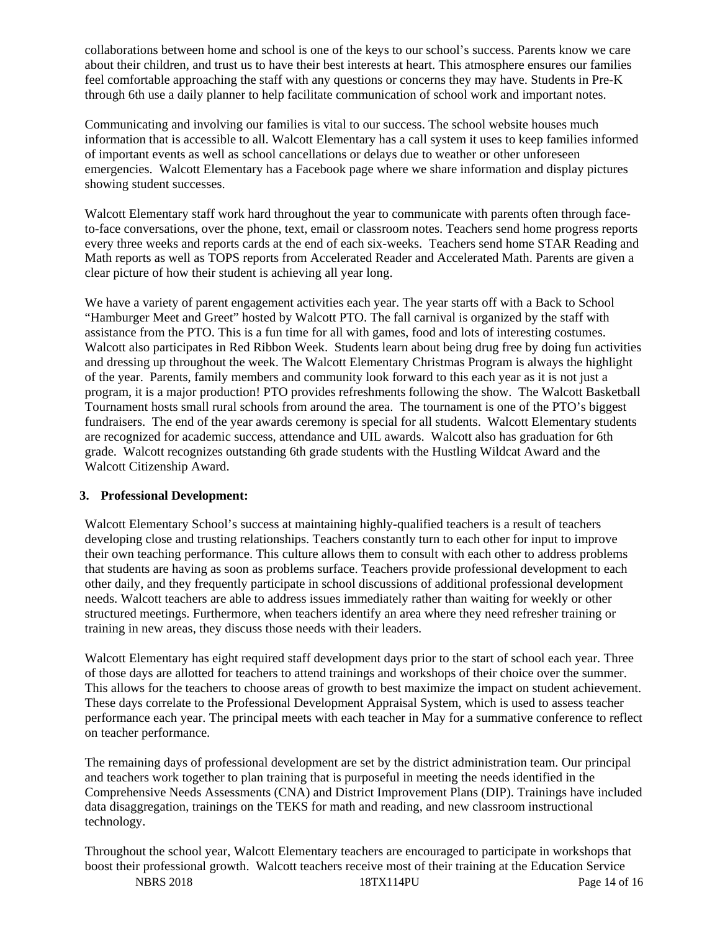collaborations between home and school is one of the keys to our school's success. Parents know we care about their children, and trust us to have their best interests at heart. This atmosphere ensures our families feel comfortable approaching the staff with any questions or concerns they may have. Students in Pre-K through 6th use a daily planner to help facilitate communication of school work and important notes.

Communicating and involving our families is vital to our success. The school website houses much information that is accessible to all. Walcott Elementary has a call system it uses to keep families informed of important events as well as school cancellations or delays due to weather or other unforeseen emergencies. Walcott Elementary has a Facebook page where we share information and display pictures showing student successes.

Walcott Elementary staff work hard throughout the year to communicate with parents often through faceto-face conversations, over the phone, text, email or classroom notes. Teachers send home progress reports every three weeks and reports cards at the end of each six-weeks. Teachers send home STAR Reading and Math reports as well as TOPS reports from Accelerated Reader and Accelerated Math. Parents are given a clear picture of how their student is achieving all year long.

We have a variety of parent engagement activities each year. The year starts off with a Back to School "Hamburger Meet and Greet" hosted by Walcott PTO. The fall carnival is organized by the staff with assistance from the PTO. This is a fun time for all with games, food and lots of interesting costumes. Walcott also participates in Red Ribbon Week. Students learn about being drug free by doing fun activities and dressing up throughout the week. The Walcott Elementary Christmas Program is always the highlight of the year. Parents, family members and community look forward to this each year as it is not just a program, it is a major production! PTO provides refreshments following the show. The Walcott Basketball Tournament hosts small rural schools from around the area. The tournament is one of the PTO's biggest fundraisers. The end of the year awards ceremony is special for all students. Walcott Elementary students are recognized for academic success, attendance and UIL awards. Walcott also has graduation for 6th grade. Walcott recognizes outstanding 6th grade students with the Hustling Wildcat Award and the Walcott Citizenship Award.

## **3. Professional Development:**

Walcott Elementary School's success at maintaining highly-qualified teachers is a result of teachers developing close and trusting relationships. Teachers constantly turn to each other for input to improve their own teaching performance. This culture allows them to consult with each other to address problems that students are having as soon as problems surface. Teachers provide professional development to each other daily, and they frequently participate in school discussions of additional professional development needs. Walcott teachers are able to address issues immediately rather than waiting for weekly or other structured meetings. Furthermore, when teachers identify an area where they need refresher training or training in new areas, they discuss those needs with their leaders.

Walcott Elementary has eight required staff development days prior to the start of school each year. Three of those days are allotted for teachers to attend trainings and workshops of their choice over the summer. This allows for the teachers to choose areas of growth to best maximize the impact on student achievement. These days correlate to the Professional Development Appraisal System, which is used to assess teacher performance each year. The principal meets with each teacher in May for a summative conference to reflect on teacher performance.

The remaining days of professional development are set by the district administration team. Our principal and teachers work together to plan training that is purposeful in meeting the needs identified in the Comprehensive Needs Assessments (CNA) and District Improvement Plans (DIP). Trainings have included data disaggregation, trainings on the TEKS for math and reading, and new classroom instructional technology.

NBRS 2018 18TX114PU Page 14 of 16 Throughout the school year, Walcott Elementary teachers are encouraged to participate in workshops that boost their professional growth. Walcott teachers receive most of their training at the Education Service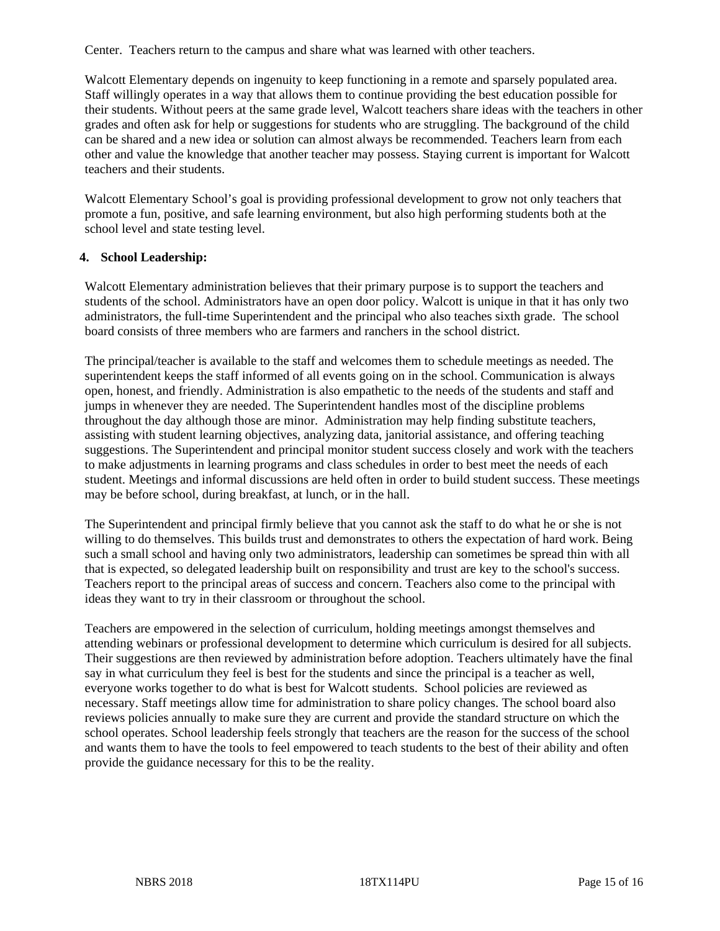Center. Teachers return to the campus and share what was learned with other teachers.

Walcott Elementary depends on ingenuity to keep functioning in a remote and sparsely populated area. Staff willingly operates in a way that allows them to continue providing the best education possible for their students. Without peers at the same grade level, Walcott teachers share ideas with the teachers in other grades and often ask for help or suggestions for students who are struggling. The background of the child can be shared and a new idea or solution can almost always be recommended. Teachers learn from each other and value the knowledge that another teacher may possess. Staying current is important for Walcott teachers and their students.

Walcott Elementary School's goal is providing professional development to grow not only teachers that promote a fun, positive, and safe learning environment, but also high performing students both at the school level and state testing level.

#### **4. School Leadership:**

Walcott Elementary administration believes that their primary purpose is to support the teachers and students of the school. Administrators have an open door policy. Walcott is unique in that it has only two administrators, the full-time Superintendent and the principal who also teaches sixth grade. The school board consists of three members who are farmers and ranchers in the school district.

The principal/teacher is available to the staff and welcomes them to schedule meetings as needed. The superintendent keeps the staff informed of all events going on in the school. Communication is always open, honest, and friendly. Administration is also empathetic to the needs of the students and staff and jumps in whenever they are needed. The Superintendent handles most of the discipline problems throughout the day although those are minor. Administration may help finding substitute teachers, assisting with student learning objectives, analyzing data, janitorial assistance, and offering teaching suggestions. The Superintendent and principal monitor student success closely and work with the teachers to make adjustments in learning programs and class schedules in order to best meet the needs of each student. Meetings and informal discussions are held often in order to build student success. These meetings may be before school, during breakfast, at lunch, or in the hall.

The Superintendent and principal firmly believe that you cannot ask the staff to do what he or she is not willing to do themselves. This builds trust and demonstrates to others the expectation of hard work. Being such a small school and having only two administrators, leadership can sometimes be spread thin with all that is expected, so delegated leadership built on responsibility and trust are key to the school's success. Teachers report to the principal areas of success and concern. Teachers also come to the principal with ideas they want to try in their classroom or throughout the school.

Teachers are empowered in the selection of curriculum, holding meetings amongst themselves and attending webinars or professional development to determine which curriculum is desired for all subjects. Their suggestions are then reviewed by administration before adoption. Teachers ultimately have the final say in what curriculum they feel is best for the students and since the principal is a teacher as well, everyone works together to do what is best for Walcott students. School policies are reviewed as necessary. Staff meetings allow time for administration to share policy changes. The school board also reviews policies annually to make sure they are current and provide the standard structure on which the school operates. School leadership feels strongly that teachers are the reason for the success of the school and wants them to have the tools to feel empowered to teach students to the best of their ability and often provide the guidance necessary for this to be the reality.